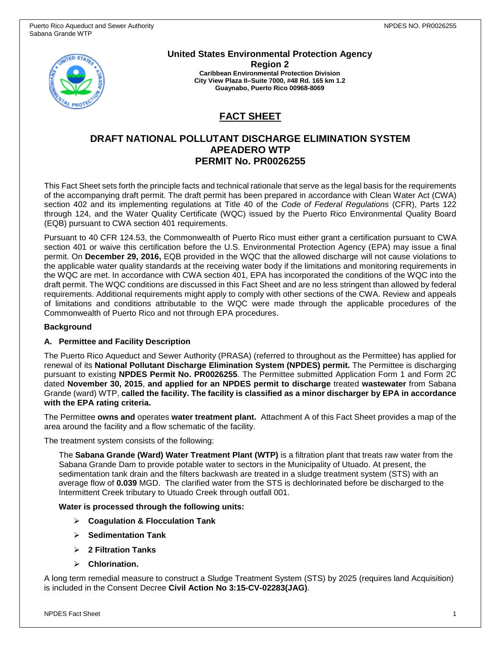

**United States Environmental Protection Agency Region 2 Caribbean Environmental Protection Division City View Plaza II–Suite 7000, #48 Rd. 165 km 1.2 Guaynabo, Puerto Rico 00968-8069**

# **FACT SHEET**

# **DRAFT NATIONAL POLLUTANT DISCHARGE ELIMINATION SYSTEM APEADERO WTP PERMIT No. PR0026255**

This Fact Sheet sets forth the principle facts and technical rationale that serve as the legal basis for the requirements of the accompanying draft permit. The draft permit has been prepared in accordance with Clean Water Act (CWA) section 402 and its implementing regulations at Title 40 of the *Code of Federal Regulations* (CFR), Parts 122 through 124, and the Water Quality Certificate (WQC) issued by the Puerto Rico Environmental Quality Board (EQB) pursuant to CWA section 401 requirements.

Pursuant to 40 CFR 124.53, the Commonwealth of Puerto Rico must either grant a certification pursuant to CWA section 401 or waive this certification before the U.S. Environmental Protection Agency (EPA) may issue a final permit. On **December 29, 2016,** EQB provided in the WQC that the allowed discharge will not cause violations to the applicable water quality standards at the receiving water body if the limitations and monitoring requirements in the WQC are met. In accordance with CWA section 401, EPA has incorporated the conditions of the WQC into the draft permit. The WQC conditions are discussed in this Fact Sheet and are no less stringent than allowed by federal requirements. Additional requirements might apply to comply with other sections of the CWA. Review and appeals of limitations and conditions attributable to the WQC were made through the applicable procedures of the Commonwealth of Puerto Rico and not through EPA procedures.

### **Background**

### **A. Permittee and Facility Description**

The Puerto Rico Aqueduct and Sewer Authority (PRASA) (referred to throughout as the Permittee) has applied for renewal of its **National Pollutant Discharge Elimination System (NPDES) permit.** The Permittee is discharging pursuant to existing **NPDES Permit No. PR0026255**. The Permittee submitted Application Form 1 and Form 2C dated **November 30, 2015**, **and applied for an NPDES permit to discharge** treated **wastewater** from Sabana Grande (ward) WTP, **called the facility. The facility is classified as a minor discharger by EPA in accordance with the EPA rating criteria.**

The Permittee **owns and** operates **water treatment plant.** Attachment A of this Fact Sheet provides a map of the area around the facility and a flow schematic of the facility.

The treatment system consists of the following:

The **Sabana Grande (Ward) Water Treatment Plant (WTP)** is a filtration plant that treats raw water from the Sabana Grande Dam to provide potable water to sectors in the Municipality of Utuado. At present, the sedimentation tank drain and the filters backwash are treated in a sludge treatment system (STS) with an average flow of **0.039** MGD. The clarified water from the STS is dechlorinated before be discharged to the Intermittent Creek tributary to Utuado Creek through outfall 001.

### **Water is processed through the following units:**

- **Coagulation & Flocculation Tank**
- **Sedimentation Tank**
- **2 Filtration Tanks**
- **Chlorination.**

A long term remedial measure to construct a Sludge Treatment System (STS) by 2025 (requires land Acquisition) is included in the Consent Decree **Civil Action No 3:15-CV-02283(JAG)**.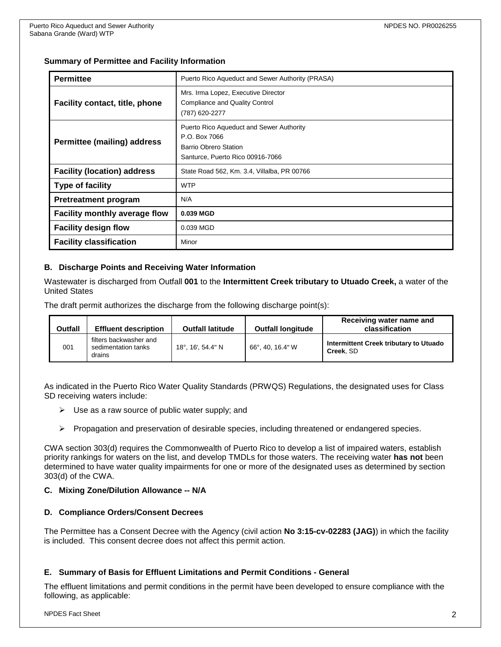### **Summary of Permittee and Facility Information**

| <b>Permittee</b>                      | Puerto Rico Aqueduct and Sewer Authority (PRASA)                                                                              |  |  |  |
|---------------------------------------|-------------------------------------------------------------------------------------------------------------------------------|--|--|--|
| <b>Facility contact, title, phone</b> | Mrs. Irma Lopez, Executive Director<br>Compliance and Quality Control<br>(787) 620-2277                                       |  |  |  |
| Permittee (mailing) address           | Puerto Rico Aqueduct and Sewer Authority<br>P.O. Box 7066<br><b>Barrio Obrero Station</b><br>Santurce, Puerto Rico 00916-7066 |  |  |  |
| <b>Facility (location) address</b>    | State Road 562, Km. 3.4, Villalba, PR 00766                                                                                   |  |  |  |
| <b>Type of facility</b>               | <b>WTP</b>                                                                                                                    |  |  |  |
| <b>Pretreatment program</b>           | N/A                                                                                                                           |  |  |  |
| Facility monthly average flow         | 0.039 MGD                                                                                                                     |  |  |  |
| <b>Facility design flow</b>           | 0.039 MGD                                                                                                                     |  |  |  |
| <b>Facility classification</b>        | Minor                                                                                                                         |  |  |  |

### **B. Discharge Points and Receiving Water Information**

Wastewater is discharged from Outfall **001** to the **Intermittent Creek tributary to Utuado Creek,** a water of the United States

The draft permit authorizes the discharge from the following discharge point(s):

| Outfall | <b>Effluent description</b>                             | <b>Outfall latitude</b>   | <b>Outfall longitude</b> | Receiving water name and<br>classification          |
|---------|---------------------------------------------------------|---------------------------|--------------------------|-----------------------------------------------------|
| 001     | filters backwasher and<br>sedimentation tanks<br>drains | $18^\circ$ , 16', 54.4" N | 66°, 40, 16.4" W         | Intermittent Creek tributary to Utuado<br>Creek. SD |

As indicated in the Puerto Rico Water Quality Standards (PRWQS) Regulations, the designated uses for Class SD receiving waters include:

- $\triangleright$  Use as a raw source of public water supply; and
- $\triangleright$  Propagation and preservation of desirable species, including threatened or endangered species.

CWA section 303(d) requires the Commonwealth of Puerto Rico to develop a list of impaired waters, establish priority rankings for waters on the list, and develop TMDLs for those waters. The receiving water **has not** been determined to have water quality impairments for one or more of the designated uses as determined by section 303(d) of the CWA.

### **C. Mixing Zone/Dilution Allowance -- N/A**

### **D. Compliance Orders/Consent Decrees**

The Permittee has a Consent Decree with the Agency (civil action **No 3:15-cv-02283 (JAG)**) in which the facility is included. This consent decree does not affect this permit action.

### **E. Summary of Basis for Effluent Limitations and Permit Conditions - General**

The effluent limitations and permit conditions in the permit have been developed to ensure compliance with the following, as applicable: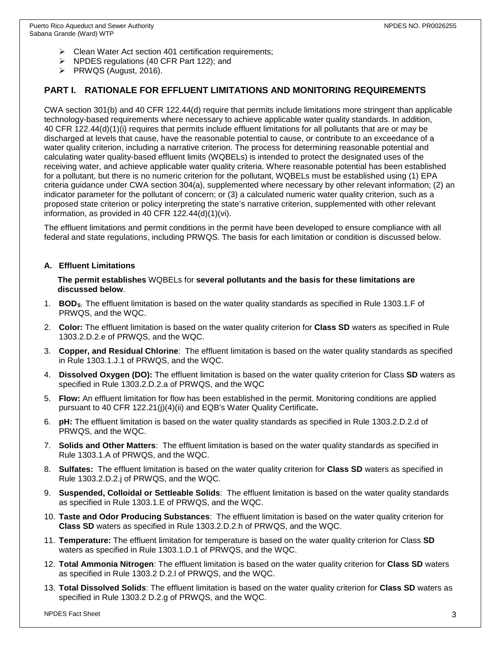- $\triangleright$  Clean Water Act section 401 certification requirements;
- $\triangleright$  NPDES regulations (40 CFR Part 122); and
- $\triangleright$  PRWQS (August, 2016).

# **PART I. RATIONALE FOR EFFLUENT LIMITATIONS AND MONITORING REQUIREMENTS**

CWA section 301(b) and 40 CFR 122.44(d) require that permits include limitations more stringent than applicable technology-based requirements where necessary to achieve applicable water quality standards. In addition, 40 CFR 122.44(d)(1)(i) requires that permits include effluent limitations for all pollutants that are or may be discharged at levels that cause, have the reasonable potential to cause, or contribute to an exceedance of a water quality criterion, including a narrative criterion. The process for determining reasonable potential and calculating water quality-based effluent limits (WQBELs) is intended to protect the designated uses of the receiving water, and achieve applicable water quality criteria. Where reasonable potential has been established for a pollutant, but there is no numeric criterion for the pollutant, WQBELs must be established using (1) EPA criteria guidance under CWA section 304(a), supplemented where necessary by other relevant information; (2) an indicator parameter for the pollutant of concern; or (3) a calculated numeric water quality criterion, such as a proposed state criterion or policy interpreting the state's narrative criterion, supplemented with other relevant information, as provided in 40 CFR 122.44(d)(1)(vi).

The effluent limitations and permit conditions in the permit have been developed to ensure compliance with all federal and state regulations, including PRWQS. The basis for each limitation or condition is discussed below.

### **A. Effluent Limitations**

**The permit establishes** WQBELs for **several pollutants and the basis for these limitations are discussed below**.

- 1. **BOD5:** The effluent limitation is based on the water quality standards as specified in Rule 1303.1.F of PRWQS, and the WQC.
- 2. **Color:** The effluent limitation is based on the water quality criterion for **Class SD** waters as specified in Rule 1303.2.D.2.e of PRWQS, and the WQC.
- 3. **Copper, and Residual Chlorine**: The effluent limitation is based on the water quality standards as specified in Rule 1303.1.J.1 of PRWQS, and the WQC.
- 4. **Dissolved Oxygen (DO):** The effluent limitation is based on the water quality criterion for Class **SD** waters as specified in Rule 1303.2.D.2.a of PRWQS, and the WQC
- 5. **Flow:** An effluent limitation for flow has been established in the permit. Monitoring conditions are applied pursuant to 40 CFR 122.21(j)(4)(ii) and EQB's Water Quality Certificate**.**
- 6. **pH:** The effluent limitation is based on the water quality standards as specified in Rule 1303.2.D.2.d of PRWQS, and the WQC.
- 7. **Solids and Other Matters**: The effluent limitation is based on the water quality standards as specified in Rule 1303.1.A of PRWQS, and the WQC.
- 8. **Sulfates:** The effluent limitation is based on the water quality criterion for **Class SD** waters as specified in Rule 1303.2.D.2.j of PRWQS, and the WQC.
- 9. **Suspended, Colloidal or Settleable Solids**: The effluent limitation is based on the water quality standards as specified in Rule 1303.1.E of PRWQS, and the WQC.
- 10. **Taste and Odor Producing Substances**: The effluent limitation is based on the water quality criterion for **Class SD** waters as specified in Rule 1303.2.D.2.h of PRWQS, and the WQC.
- 11. **Temperature:** The effluent limitation for temperature is based on the water quality criterion for Class **SD** waters as specified in Rule 1303.1.D.1 of PRWQS, and the WQC.
- 12. **Total Ammonia Nitrogen**: The effluent limitation is based on the water quality criterion for **Class SD** waters as specified in Rule 1303.2 D.2.l of PRWQS, and the WQC.
- 13. **Total Dissolved Solids**: The effluent limitation is based on the water quality criterion for **Class SD** waters as specified in Rule 1303.2 D.2.g of PRWQS, and the WQC.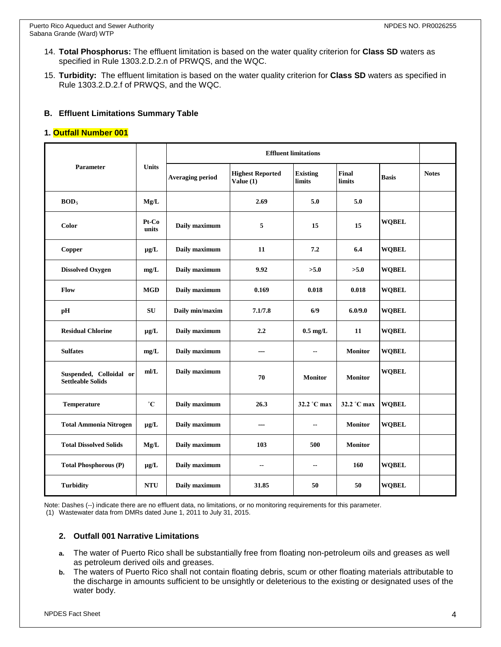- 14. **Total Phosphorus:** The effluent limitation is based on the water quality criterion for **Class SD** waters as specified in Rule 1303.2.D.2.n of PRWQS, and the WQC.
- 15. **Turbidity:** The effluent limitation is based on the water quality criterion for **Class SD** waters as specified in Rule 1303.2.D.2.f of PRWQS, and the WQC.

### **B. Effluent Limitations Summary Table**

### **1. Outfall Number 001**

| <b>Parameter</b>                                    | <b>Units</b>   | <b>Effluent limitations</b> |                                        |                           |                               |              |              |
|-----------------------------------------------------|----------------|-----------------------------|----------------------------------------|---------------------------|-------------------------------|--------------|--------------|
|                                                     |                | <b>Averaging period</b>     | <b>Highest Reported</b><br>Value $(1)$ | <b>Existing</b><br>limits | <b>Final</b><br><b>limits</b> | <b>Basis</b> | <b>Notes</b> |
| BOD <sub>5</sub>                                    | Mg/L           |                             | 2.69                                   | 5.0                       | 5.0                           |              |              |
| Color                                               | Pt-Co<br>units | Daily maximum               | 5                                      | 15                        | 15                            | <b>WQBEL</b> |              |
| <b>Copper</b>                                       | $\mu g/L$      | Daily maximum               | 11                                     | 7.2                       | 6.4                           | <b>WQBEL</b> |              |
| <b>Dissolved Oxygen</b>                             | mg/L           | Daily maximum               | 9.92                                   | >5.0                      | >5.0                          | <b>WOBEL</b> |              |
| Flow                                                | <b>MGD</b>     | Daily maximum               | 0.169                                  | 0.018                     | 0.018                         | <b>WOBEL</b> |              |
| pH                                                  | <b>SU</b>      | Daily min/maxim             | 7.1/7.8                                | 6/9                       | 6.0/9.0                       | <b>WOBEL</b> |              |
| <b>Residual Chlorine</b>                            | $\mu g/L$      | Daily maximum               | 2.2                                    | $0.5 \text{ mg/L}$        | 11                            | <b>WQBEL</b> |              |
| <b>Sulfates</b>                                     | mg/L           | Daily maximum               | ---                                    | $-$                       | <b>Monitor</b>                | <b>WOBEL</b> |              |
| Suspended, Colloidal or<br><b>Settleable Solids</b> | m/L            | Daily maximum               | 70                                     | <b>Monitor</b>            | <b>Monitor</b>                | <b>WOBEL</b> |              |
| Temperature                                         | $^{\circ}C$    | Daily maximum               | 26.3                                   | 32.2 °C max               | 32.2 °C max                   | <b>WOBEL</b> |              |
| <b>Total Ammonia Nitrogen</b>                       | $\mu$ g/L      | Daily maximum               |                                        | --                        | <b>Monitor</b>                | <b>WOBEL</b> |              |
| <b>Total Dissolved Solids</b>                       | Mg/L           | Daily maximum               | 103                                    | 500                       | <b>Monitor</b>                |              |              |
| <b>Total Phosphorous (P)</b>                        | $\mu$ g/L      | Daily maximum               | --                                     | $\overline{\phantom{a}}$  | 160                           | <b>WOBEL</b> |              |
| <b>Turbidity</b>                                    | <b>NTU</b>     | Daily maximum               | 31.85                                  | 50                        | 50                            | <b>WQBEL</b> |              |

Note: Dashes (--) indicate there are no effluent data, no limitations, or no monitoring requirements for this parameter.

(1) Wastewater data from DMRs dated June 1, 2011 to July 31, 2015.

### **2. Outfall 001 Narrative Limitations**

- **a.** The water of Puerto Rico shall be substantially free from floating non-petroleum oils and greases as well as petroleum derived oils and greases.
- **b.** The waters of Puerto Rico shall not contain floating debris, scum or other floating materials attributable to the discharge in amounts sufficient to be unsightly or deleterious to the existing or designated uses of the water body.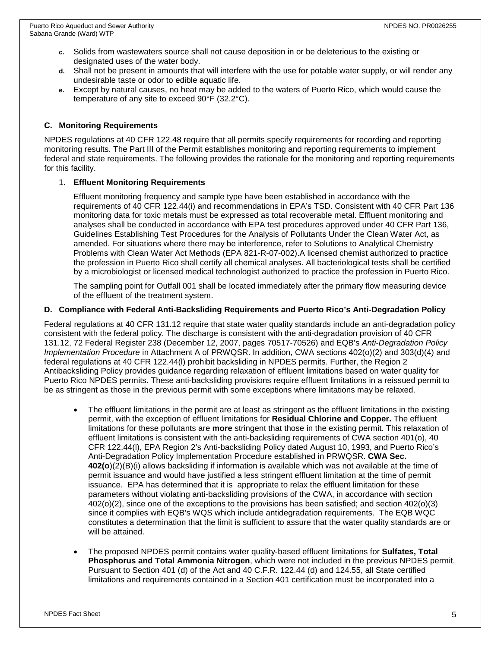- **c.** Solids from wastewaters source shall not cause deposition in or be deleterious to the existing or designated uses of the water body.
- **d.** Shall not be present in amounts that will interfere with the use for potable water supply, or will render any undesirable taste or odor to edible aquatic life.
- **e.** Except by natural causes, no heat may be added to the waters of Puerto Rico, which would cause the temperature of any site to exceed 90°F (32.2°C).

### **C. Monitoring Requirements**

NPDES regulations at 40 CFR 122.48 require that all permits specify requirements for recording and reporting monitoring results. The Part III of the Permit establishes monitoring and reporting requirements to implement federal and state requirements. The following provides the rationale for the monitoring and reporting requirements for this facility.

### 1. **Effluent Monitoring Requirements**

Effluent monitoring frequency and sample type have been established in accordance with the requirements of 40 CFR 122.44(i) and recommendations in EPA's TSD. Consistent with 40 CFR Part 136 monitoring data for toxic metals must be expressed as total recoverable metal. Effluent monitoring and analyses shall be conducted in accordance with EPA test procedures approved under 40 CFR Part 136, Guidelines Establishing Test Procedures for the Analysis of Pollutants Under the Clean Water Act, as amended. For situations where there may be interference, refer to Solutions to Analytical Chemistry Problems with Clean Water Act Methods (EPA 821-R-07-002).A licensed chemist authorized to practice the profession in Puerto Rico shall certify all chemical analyses. All bacteriological tests shall be certified by a microbiologist or licensed medical technologist authorized to practice the profession in Puerto Rico.

The sampling point for Outfall 001 shall be located immediately after the primary flow measuring device of the effluent of the treatment system.

## **D. Compliance with Federal Anti-Backsliding Requirements and Puerto Rico's Anti-Degradation Policy**

Federal regulations at 40 CFR 131.12 require that state water quality standards include an anti-degradation policy consistent with the federal policy. The discharge is consistent with the anti-degradation provision of 40 CFR 131.12, 72 Federal Register 238 (December 12, 2007, pages 70517-70526) and EQB's *Anti-Degradation Policy Implementation Procedure* in Attachment A of PRWQSR. In addition, CWA sections 402(o)(2) and 303(d)(4) and federal regulations at 40 CFR 122.44(l) prohibit backsliding in NPDES permits. Further, the Region 2 Antibacksliding Policy provides guidance regarding relaxation of effluent limitations based on water quality for Puerto Rico NPDES permits. These anti-backsliding provisions require effluent limitations in a reissued permit to be as stringent as those in the previous permit with some exceptions where limitations may be relaxed.

- The effluent limitations in the permit are at least as stringent as the effluent limitations in the existing permit, with the exception of effluent limitations for **Residual Chlorine and Copper.** The effluent limitations for these pollutants are **more** stringent that those in the existing permit. This relaxation of effluent limitations is consistent with the anti-backsliding requirements of CWA section 401(o), 40 CFR 122.44(l), EPA Region 2's Anti-backsliding Policy dated August 10, 1993, and Puerto Rico's Anti-Degradation Policy Implementation Procedure established in PRWQSR. **CWA Sec. 402(o**)(2)(B)(i) allows backsliding if information is available which was not available at the time of permit issuance and would have justified a less stringent effluent limitation at the time of permit issuance. EPA has determined that it is appropriate to relax the effluent limitation for these parameters without violating anti-backsliding provisions of the CWA, in accordance with section 402(o)(2), since one of the exceptions to the provisions has been satisfied; and section 402(o)(3) since it complies with EQB's WQS which include antidegradation requirements. The EQB WQC constitutes a determination that the limit is sufficient to assure that the water quality standards are or will be attained.
- The proposed NPDES permit contains water quality-based effluent limitations for **Sulfates, Total Phosphorus and Total Ammonia Nitrogen**, which were not included in the previous NPDES permit. Pursuant to Section 401 (d) of the Act and 40 C.F.R. 122.44 (d) and 124.55, all State certified limitations and requirements contained in a Section 401 certification must be incorporated into a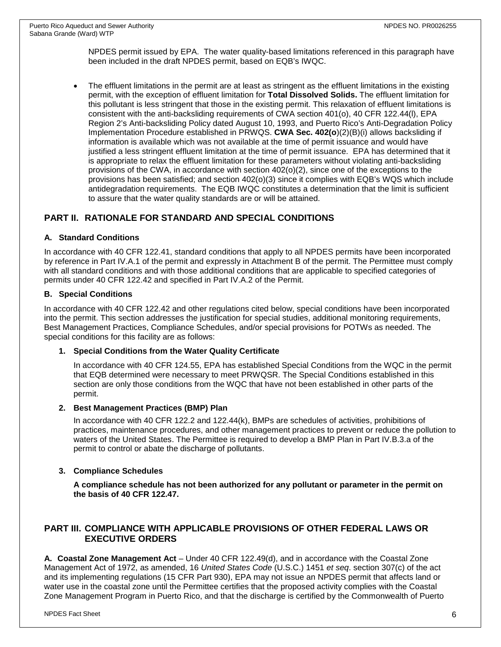NPDES permit issued by EPA. The water quality-based limitations referenced in this paragraph have been included in the draft NPDES permit, based on EQB's IWQC.

• The effluent limitations in the permit are at least as stringent as the effluent limitations in the existing permit, with the exception of effluent limitation for **Total Dissolved Solids.** The effluent limitation for this pollutant is less stringent that those in the existing permit. This relaxation of effluent limitations is consistent with the anti-backsliding requirements of CWA section 401(o), 40 CFR 122.44(l), EPA Region 2's Anti-backsliding Policy dated August 10, 1993, and Puerto Rico's Anti-Degradation Policy Implementation Procedure established in PRWQS. **CWA Sec. 402(o**)(2)(B)(i) allows backsliding if information is available which was not available at the time of permit issuance and would have justified a less stringent effluent limitation at the time of permit issuance. EPA has determined that it is appropriate to relax the effluent limitation for these parameters without violating anti-backsliding provisions of the CWA, in accordance with section 402(o)(2), since one of the exceptions to the provisions has been satisfied; and section 402(o)(3) since it complies with EQB's WQS which include antidegradation requirements. The EQB IWQC constitutes a determination that the limit is sufficient to assure that the water quality standards are or will be attained.

# **PART II. RATIONALE FOR STANDARD AND SPECIAL CONDITIONS**

### **A. Standard Conditions**

In accordance with 40 CFR 122.41, standard conditions that apply to all NPDES permits have been incorporated by reference in Part IV.A.1 of the permit and expressly in Attachment B of the permit. The Permittee must comply with all standard conditions and with those additional conditions that are applicable to specified categories of permits under 40 CFR 122.42 and specified in Part IV.A.2 of the Permit.

### **B. Special Conditions**

In accordance with 40 CFR 122.42 and other regulations cited below, special conditions have been incorporated into the permit. This section addresses the justification for special studies, additional monitoring requirements, Best Management Practices, Compliance Schedules, and/or special provisions for POTWs as needed. The special conditions for this facility are as follows:

### **1. Special Conditions from the Water Quality Certificate**

In accordance with 40 CFR 124.55, EPA has established Special Conditions from the WQC in the permit that EQB determined were necessary to meet PRWQSR. The Special Conditions established in this section are only those conditions from the WQC that have not been established in other parts of the permit.

### **2. Best Management Practices (BMP) Plan**

In accordance with 40 CFR 122.2 and 122.44(k), BMPs are schedules of activities, prohibitions of practices, maintenance procedures, and other management practices to prevent or reduce the pollution to waters of the United States. The Permittee is required to develop a BMP Plan in Part IV.B.3.a of the permit to control or abate the discharge of pollutants.

### **3. Compliance Schedules**

**A compliance schedule has not been authorized for any pollutant or parameter in the permit on the basis of 40 CFR 122.47.**

## **PART III. COMPLIANCE WITH APPLICABLE PROVISIONS OF OTHER FEDERAL LAWS OR EXECUTIVE ORDERS**

**A. Coastal Zone Management Act** – Under 40 CFR 122.49(d), and in accordance with the Coastal Zone Management Act of 1972, as amended, 16 *United States Code* (U.S.C.) 1451 *et seq*. section 307(c) of the act and its implementing regulations (15 CFR Part 930), EPA may not issue an NPDES permit that affects land or water use in the coastal zone until the Permittee certifies that the proposed activity complies with the Coastal Zone Management Program in Puerto Rico, and that the discharge is certified by the Commonwealth of Puerto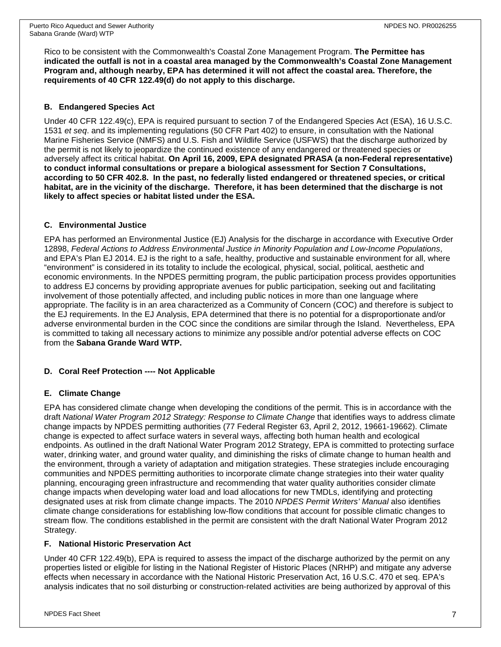Rico to be consistent with the Commonwealth's Coastal Zone Management Program. **The Permittee has indicated the outfall is not in a coastal area managed by the Commonwealth's Coastal Zone Management Program and, although nearby, EPA has determined it will not affect the coastal area. Therefore, the requirements of 40 CFR 122.49(d) do not apply to this discharge.**

### **B. Endangered Species Act**

Under 40 CFR 122.49(c), EPA is required pursuant to section 7 of the Endangered Species Act (ESA), 16 U.S.C. 1531 *et seq*. and its implementing regulations (50 CFR Part 402) to ensure, in consultation with the National Marine Fisheries Service (NMFS) and U.S. Fish and Wildlife Service (USFWS) that the discharge authorized by the permit is not likely to jeopardize the continued existence of any endangered or threatened species or adversely affect its critical habitat. **On April 16, 2009, EPA designated PRASA (a non-Federal representative) to conduct informal consultations or prepare a biological assessment for Section 7 Consultations, according to 50 CFR 402.8. In the past, no federally listed endangered or threatened species, or critical habitat, are in the vicinity of the discharge. Therefore, it has been determined that the discharge is not likely to affect species or habitat listed under the ESA.**

## **C. Environmental Justice**

EPA has performed an Environmental Justice (EJ) Analysis for the discharge in accordance with Executive Order 12898, *Federal Actions to Address Environmental Justice in Minority Population and Low-Income Populations*, and EPA's Plan EJ 2014. EJ is the right to a safe, healthy, productive and sustainable environment for all, where "environment" is considered in its totality to include the ecological, physical, social, political, aesthetic and economic environments. In the NPDES permitting program, the public participation process provides opportunities to address EJ concerns by providing appropriate avenues for public participation, seeking out and facilitating involvement of those potentially affected, and including public notices in more than one language where appropriate. The facility is in an area characterized as a Community of Concern (COC) and therefore is subject to the EJ requirements. In the EJ Analysis, EPA determined that there is no potential for a disproportionate and/or adverse environmental burden in the COC since the conditions are similar through the Island. Nevertheless, EPA is committed to taking all necessary actions to minimize any possible and/or potential adverse effects on COC from the **Sabana Grande Ward WTP.**

### **D. Coral Reef Protection ---- Not Applicable**

### **E. Climate Change**

EPA has considered climate change when developing the conditions of the permit. This is in accordance with the draft *National Water Program 2012 Strategy: Response to Climate Change* that identifies ways to address climate change impacts by NPDES permitting authorities (77 Federal Register 63, April 2, 2012, 19661-19662). Climate change is expected to affect surface waters in several ways, affecting both human health and ecological endpoints. As outlined in the draft National Water Program 2012 Strategy, EPA is committed to protecting surface water, drinking water, and ground water quality, and diminishing the risks of climate change to human health and the environment, through a variety of adaptation and mitigation strategies. These strategies include encouraging communities and NPDES permitting authorities to incorporate climate change strategies into their water quality planning, encouraging green infrastructure and recommending that water quality authorities consider climate change impacts when developing water load and load allocations for new TMDLs, identifying and protecting designated uses at risk from climate change impacts. The 2010 *NPDES Permit Writers' Manual* also identifies climate change considerations for establishing low-flow conditions that account for possible climatic changes to stream flow. The conditions established in the permit are consistent with the draft National Water Program 2012 Strategy.

### **F. National Historic Preservation Act**

Under 40 CFR 122.49(b), EPA is required to assess the impact of the discharge authorized by the permit on any properties listed or eligible for listing in the National Register of Historic Places (NRHP) and mitigate any adverse effects when necessary in accordance with the National Historic Preservation Act, 16 U.S.C. 470 et seq. EPA's analysis indicates that no soil disturbing or construction-related activities are being authorized by approval of this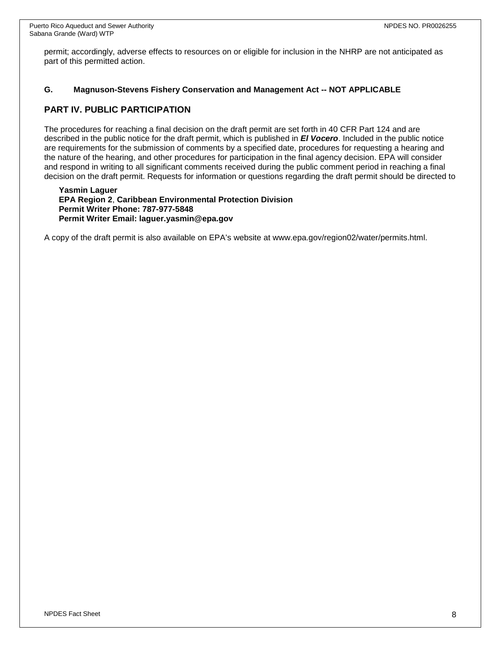permit; accordingly, adverse effects to resources on or eligible for inclusion in the NHRP are not anticipated as part of this permitted action.

### **G. Magnuson-Stevens Fishery Conservation and Management Act -- NOT APPLICABLE**

# **PART IV. PUBLIC PARTICIPATION**

The procedures for reaching a final decision on the draft permit are set forth in 40 CFR Part 124 and are described in the public notice for the draft permit, which is published in *El Vocero*. Included in the public notice are requirements for the submission of comments by a specified date, procedures for requesting a hearing and the nature of the hearing, and other procedures for participation in the final agency decision. EPA will consider and respond in writing to all significant comments received during the public comment period in reaching a final decision on the draft permit. Requests for information or questions regarding the draft permit should be directed to

**Yasmin Laguer EPA Region 2**, **Caribbean Environmental Protection Division Permit Writer Phone: 787-977-5848 Permit Writer Email: laguer.yasmin@epa.gov**

A copy of the draft permit is also available on EPA's website at www.epa.gov/region02/water/permits.html.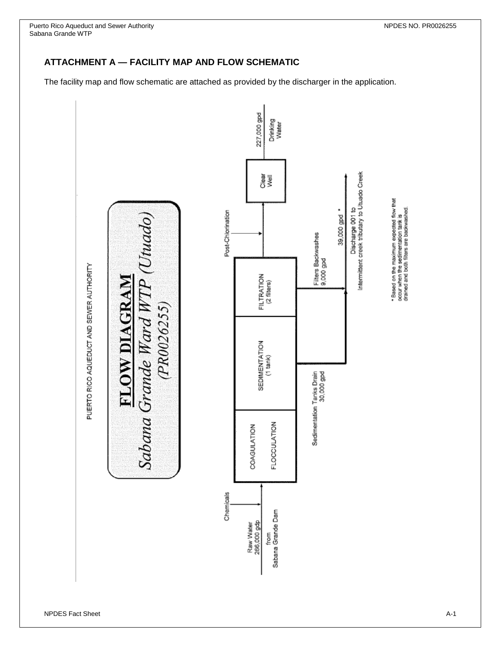Puerto Rico Aqueduct and Sewer Authority New Service Authority New Service Authority New Service Authority New Service Authority New Service Authority New Service Authority New Service Authority New Service Authority New S Sabana Grande WTP

# **ATTACHMENT A — FACILITY MAP AND FLOW SCHEMATIC**

The facility map and flow schematic are attached as provided by the discharger in the application.



PUERTO RICO AQUEDUCT AND SEWER AUTHORITY